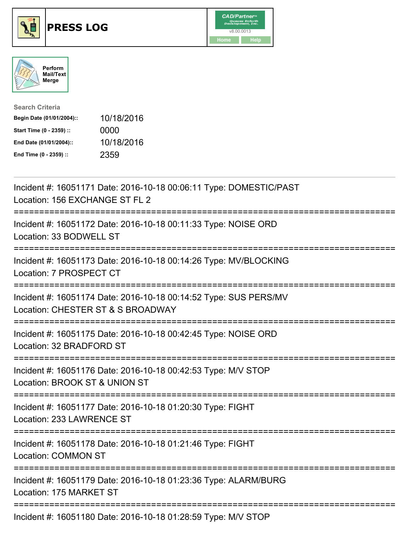





| <b>Search Criteria</b>    |            |
|---------------------------|------------|
| Begin Date (01/01/2004):: | 10/18/2016 |
| Start Time (0 - 2359) ::  | 0000       |
| End Date (01/01/2004)::   | 10/18/2016 |
| End Time (0 - 2359) ::    | 2359       |

| Incident #: 16051171 Date: 2016-10-18 00:06:11 Type: DOMESTIC/PAST<br>Location: 156 EXCHANGE ST FL 2                                       |
|--------------------------------------------------------------------------------------------------------------------------------------------|
| Incident #: 16051172 Date: 2016-10-18 00:11:33 Type: NOISE ORD<br>Location: 33 BODWELL ST                                                  |
| Incident #: 16051173 Date: 2016-10-18 00:14:26 Type: MV/BLOCKING<br>Location: 7 PROSPECT CT                                                |
| Incident #: 16051174 Date: 2016-10-18 00:14:52 Type: SUS PERS/MV<br>Location: CHESTER ST & S BROADWAY                                      |
| Incident #: 16051175 Date: 2016-10-18 00:42:45 Type: NOISE ORD<br>Location: 32 BRADFORD ST<br>======================<br>================== |
| Incident #: 16051176 Date: 2016-10-18 00:42:53 Type: M/V STOP<br>Location: BROOK ST & UNION ST                                             |
| Incident #: 16051177 Date: 2016-10-18 01:20:30 Type: FIGHT<br>Location: 233 LAWRENCE ST                                                    |
| Incident #: 16051178 Date: 2016-10-18 01:21:46 Type: FIGHT<br><b>Location: COMMON ST</b>                                                   |
| Incident #: 16051179 Date: 2016-10-18 01:23:36 Type: ALARM/BURG<br>Location: 175 MARKET ST                                                 |
| Incident #: 16051180 Date: 2016-10-18 01:28:59 Type: M/V STOP                                                                              |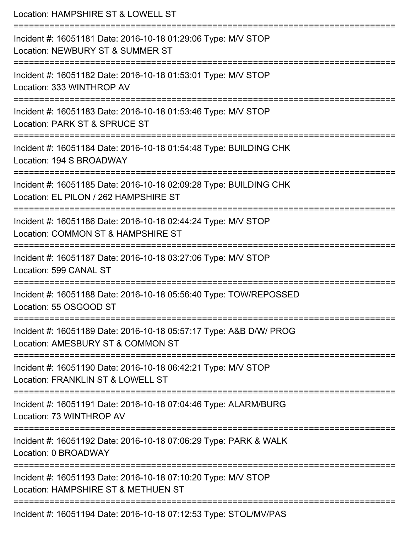| Location: HAMPSHIRE ST & LOWELL ST                                                                                                                 |
|----------------------------------------------------------------------------------------------------------------------------------------------------|
| Incident #: 16051181 Date: 2016-10-18 01:29:06 Type: M/V STOP<br>Location: NEWBURY ST & SUMMER ST                                                  |
| Incident #: 16051182 Date: 2016-10-18 01:53:01 Type: M/V STOP<br>Location: 333 WINTHROP AV                                                         |
| Incident #: 16051183 Date: 2016-10-18 01:53:46 Type: M/V STOP<br>Location: PARK ST & SPRUCE ST                                                     |
| Incident #: 16051184 Date: 2016-10-18 01:54:48 Type: BUILDING CHK<br>Location: 194 S BROADWAY                                                      |
| Incident #: 16051185 Date: 2016-10-18 02:09:28 Type: BUILDING CHK<br>Location: EL PILON / 262 HAMPSHIRE ST<br>==================================== |
| Incident #: 16051186 Date: 2016-10-18 02:44:24 Type: M/V STOP<br>Location: COMMON ST & HAMPSHIRE ST                                                |
| Incident #: 16051187 Date: 2016-10-18 03:27:06 Type: M/V STOP<br>Location: 599 CANAL ST                                                            |
| Incident #: 16051188 Date: 2016-10-18 05:56:40 Type: TOW/REPOSSED<br>Location: 55 OSGOOD ST                                                        |
| Incident #: 16051189 Date: 2016-10-18 05:57:17 Type: A&B D/W/ PROG<br>Location: AMESBURY ST & COMMON ST                                            |
| Incident #: 16051190 Date: 2016-10-18 06:42:21 Type: M/V STOP<br>Location: FRANKLIN ST & LOWELL ST                                                 |
| ==========================<br>Incident #: 16051191 Date: 2016-10-18 07:04:46 Type: ALARM/BURG<br>Location: 73 WINTHROP AV                          |
| Incident #: 16051192 Date: 2016-10-18 07:06:29 Type: PARK & WALK<br>Location: 0 BROADWAY                                                           |
| Incident #: 16051193 Date: 2016-10-18 07:10:20 Type: M/V STOP<br>Location: HAMPSHIRE ST & METHUEN ST                                               |
| Incident #: 16051194 Date: 2016-10-18 07:12:53 Type: STOL/MV/PAS                                                                                   |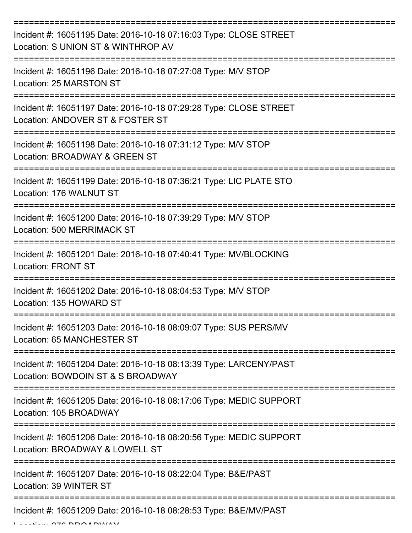| Incident #: 16051195 Date: 2016-10-18 07:16:03 Type: CLOSE STREET<br>Location: S UNION ST & WINTHROP AV |
|---------------------------------------------------------------------------------------------------------|
| Incident #: 16051196 Date: 2016-10-18 07:27:08 Type: M/V STOP<br>Location: 25 MARSTON ST                |
| Incident #: 16051197 Date: 2016-10-18 07:29:28 Type: CLOSE STREET<br>Location: ANDOVER ST & FOSTER ST   |
| Incident #: 16051198 Date: 2016-10-18 07:31:12 Type: M/V STOP<br>Location: BROADWAY & GREEN ST          |
| Incident #: 16051199 Date: 2016-10-18 07:36:21 Type: LIC PLATE STO<br>Location: 176 WALNUT ST           |
| Incident #: 16051200 Date: 2016-10-18 07:39:29 Type: M/V STOP<br>Location: 500 MERRIMACK ST             |
| Incident #: 16051201 Date: 2016-10-18 07:40:41 Type: MV/BLOCKING<br><b>Location: FRONT ST</b>           |
| Incident #: 16051202 Date: 2016-10-18 08:04:53 Type: M/V STOP<br>Location: 135 HOWARD ST                |
| Incident #: 16051203 Date: 2016-10-18 08:09:07 Type: SUS PERS/MV<br>Location: 65 MANCHESTER ST          |
| Incident #: 16051204 Date: 2016-10-18 08:13:39 Type: LARCENY/PAST<br>Location: BOWDOIN ST & S BROADWAY  |
| Incident #: 16051205 Date: 2016-10-18 08:17:06 Type: MEDIC SUPPORT<br>Location: 105 BROADWAY            |
| Incident #: 16051206 Date: 2016-10-18 08:20:56 Type: MEDIC SUPPORT<br>Location: BROADWAY & LOWELL ST    |
| Incident #: 16051207 Date: 2016-10-18 08:22:04 Type: B&E/PAST<br>Location: 39 WINTER ST                 |
| Incident #: 16051209 Date: 2016-10-18 08:28:53 Type: B&E/MV/PAST                                        |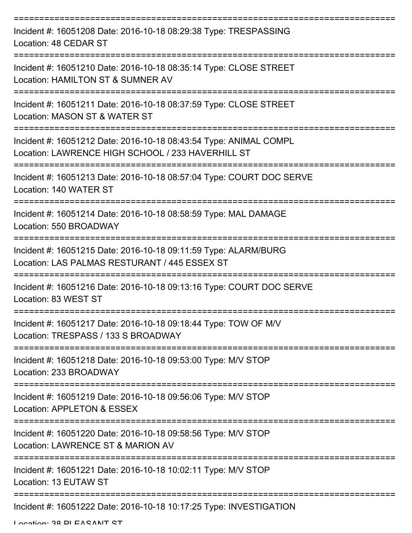| Incident #: 16051208 Date: 2016-10-18 08:29:38 Type: TRESPASSING<br>Location: 48 CEDAR ST                              |
|------------------------------------------------------------------------------------------------------------------------|
| Incident #: 16051210 Date: 2016-10-18 08:35:14 Type: CLOSE STREET<br>Location: HAMILTON ST & SUMNER AV                 |
| Incident #: 16051211 Date: 2016-10-18 08:37:59 Type: CLOSE STREET<br>Location: MASON ST & WATER ST                     |
| Incident #: 16051212 Date: 2016-10-18 08:43:54 Type: ANIMAL COMPL<br>Location: LAWRENCE HIGH SCHOOL / 233 HAVERHILL ST |
| Incident #: 16051213 Date: 2016-10-18 08:57:04 Type: COURT DOC SERVE<br>Location: 140 WATER ST                         |
| Incident #: 16051214 Date: 2016-10-18 08:58:59 Type: MAL DAMAGE<br>Location: 550 BROADWAY                              |
| Incident #: 16051215 Date: 2016-10-18 09:11:59 Type: ALARM/BURG<br>Location: LAS PALMAS RESTURANT / 445 ESSEX ST       |
| Incident #: 16051216 Date: 2016-10-18 09:13:16 Type: COURT DOC SERVE<br>Location: 83 WEST ST                           |
| Incident #: 16051217 Date: 2016-10-18 09:18:44 Type: TOW OF M/V<br>Location: TRESPASS / 133 S BROADWAY                 |
| Incident #: 16051218 Date: 2016-10-18 09:53:00 Type: M/V STOP<br>Location: 233 BROADWAY                                |
| Incident #: 16051219 Date: 2016-10-18 09:56:06 Type: M/V STOP<br>Location: APPLETON & ESSEX                            |
| Incident #: 16051220 Date: 2016-10-18 09:58:56 Type: M/V STOP<br>Location: LAWRENCE ST & MARION AV                     |
| Incident #: 16051221 Date: 2016-10-18 10:02:11 Type: M/V STOP<br>Location: 13 EUTAW ST                                 |
| Incident #: 16051222 Date: 2016-10-18 10:17:25 Type: INVESTIGATION                                                     |

Location: 38 DI EACANIT CT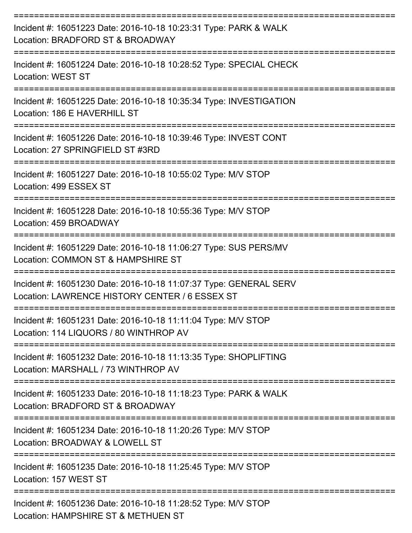| Incident #: 16051223 Date: 2016-10-18 10:23:31 Type: PARK & WALK<br>Location: BRADFORD ST & BROADWAY                |
|---------------------------------------------------------------------------------------------------------------------|
| Incident #: 16051224 Date: 2016-10-18 10:28:52 Type: SPECIAL CHECK<br><b>Location: WEST ST</b>                      |
| Incident #: 16051225 Date: 2016-10-18 10:35:34 Type: INVESTIGATION<br>Location: 186 E HAVERHILL ST                  |
| Incident #: 16051226 Date: 2016-10-18 10:39:46 Type: INVEST CONT<br>Location: 27 SPRINGFIELD ST #3RD                |
| Incident #: 16051227 Date: 2016-10-18 10:55:02 Type: M/V STOP<br>Location: 499 ESSEX ST                             |
| Incident #: 16051228 Date: 2016-10-18 10:55:36 Type: M/V STOP<br>Location: 459 BROADWAY                             |
| Incident #: 16051229 Date: 2016-10-18 11:06:27 Type: SUS PERS/MV<br>Location: COMMON ST & HAMPSHIRE ST              |
| Incident #: 16051230 Date: 2016-10-18 11:07:37 Type: GENERAL SERV<br>Location: LAWRENCE HISTORY CENTER / 6 ESSEX ST |
| Incident #: 16051231 Date: 2016-10-18 11:11:04 Type: M/V STOP<br>Location: 114 LIQUORS / 80 WINTHROP AV             |
| Incident #: 16051232 Date: 2016-10-18 11:13:35 Type: SHOPLIFTING<br>Location: MARSHALL / 73 WINTHROP AV             |
| Incident #: 16051233 Date: 2016-10-18 11:18:23 Type: PARK & WALK<br>Location: BRADFORD ST & BROADWAY                |
| Incident #: 16051234 Date: 2016-10-18 11:20:26 Type: M/V STOP<br>Location: BROADWAY & LOWELL ST                     |
| Incident #: 16051235 Date: 2016-10-18 11:25:45 Type: M/V STOP<br>Location: 157 WEST ST                              |
| Incident #: 16051236 Date: 2016-10-18 11:28:52 Type: M/V STOP<br>Location: HAMPSHIRE ST & METHUEN ST                |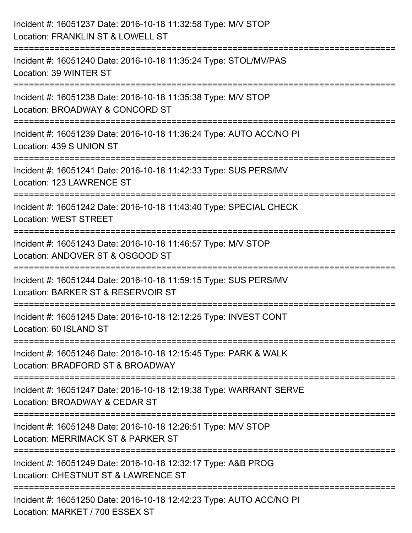| Incident #: 16051237 Date: 2016-10-18 11:32:58 Type: M/V STOP<br>Location: FRANKLIN ST & LOWELL ST                       |
|--------------------------------------------------------------------------------------------------------------------------|
| :======================<br>Incident #: 16051240 Date: 2016-10-18 11:35:24 Type: STOL/MV/PAS<br>Location: 39 WINTER ST    |
| Incident #: 16051238 Date: 2016-10-18 11:35:38 Type: M/V STOP<br>Location: BROADWAY & CONCORD ST<br>==================== |
| Incident #: 16051239 Date: 2016-10-18 11:36:24 Type: AUTO ACC/NO PI<br>Location: 439 S UNION ST                          |
| Incident #: 16051241 Date: 2016-10-18 11:42:33 Type: SUS PERS/MV<br>Location: 123 LAWRENCE ST                            |
| Incident #: 16051242 Date: 2016-10-18 11:43:40 Type: SPECIAL CHECK<br><b>Location: WEST STREET</b>                       |
| Incident #: 16051243 Date: 2016-10-18 11:46:57 Type: M/V STOP<br>Location: ANDOVER ST & OSGOOD ST                        |
| Incident #: 16051244 Date: 2016-10-18 11:59:15 Type: SUS PERS/MV<br>Location: BARKER ST & RESERVOIR ST                   |
| Incident #: 16051245 Date: 2016-10-18 12:12:25 Type: INVEST CONT<br>Location: 60 ISLAND ST                               |
| Incident #: 16051246 Date: 2016-10-18 12:15:45 Type: PARK & WALK<br>Location: BRADFORD ST & BROADWAY                     |
| Incident #: 16051247 Date: 2016-10-18 12:19:38 Type: WARRANT SERVE<br>Location: BROADWAY & CEDAR ST                      |
| Incident #: 16051248 Date: 2016-10-18 12:26:51 Type: M/V STOP<br>Location: MERRIMACK ST & PARKER ST                      |
| Incident #: 16051249 Date: 2016-10-18 12:32:17 Type: A&B PROG<br>Location: CHESTNUT ST & LAWRENCE ST                     |
| Incident #: 16051250 Date: 2016-10-18 12:42:23 Type: AUTO ACC/NO PI<br>Location: MARKET / 700 ESSEX ST                   |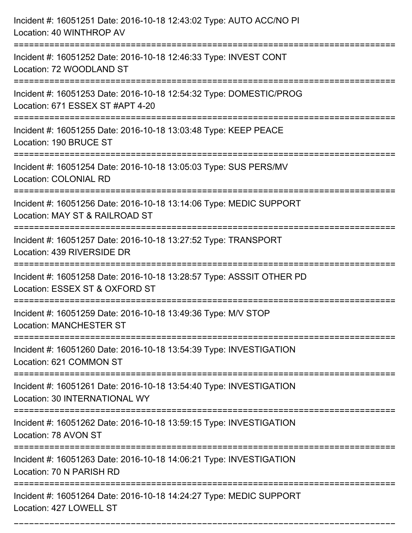| Incident #: 16051251 Date: 2016-10-18 12:43:02 Type: AUTO ACC/NO PI<br>Location: 40 WINTHROP AV<br>:================================== |
|----------------------------------------------------------------------------------------------------------------------------------------|
| Incident #: 16051252 Date: 2016-10-18 12:46:33 Type: INVEST CONT<br>Location: 72 WOODLAND ST                                           |
| Incident #: 16051253 Date: 2016-10-18 12:54:32 Type: DOMESTIC/PROG<br>Location: 671 ESSEX ST #APT 4-20<br>:===================         |
| Incident #: 16051255 Date: 2016-10-18 13:03:48 Type: KEEP PEACE<br>Location: 190 BRUCE ST                                              |
| Incident #: 16051254 Date: 2016-10-18 13:05:03 Type: SUS PERS/MV<br>Location: COLONIAL RD                                              |
| Incident #: 16051256 Date: 2016-10-18 13:14:06 Type: MEDIC SUPPORT<br>Location: MAY ST & RAILROAD ST                                   |
| Incident #: 16051257 Date: 2016-10-18 13:27:52 Type: TRANSPORT<br>Location: 439 RIVERSIDE DR                                           |
| Incident #: 16051258 Date: 2016-10-18 13:28:57 Type: ASSSIT OTHER PD<br>Location: ESSEX ST & OXFORD ST                                 |
| Incident #: 16051259 Date: 2016-10-18 13:49:36 Type: M/V STOP<br><b>Location: MANCHESTER ST</b>                                        |
| Incident #: 16051260 Date: 2016-10-18 13:54:39 Type: INVESTIGATION<br>Location: 621 COMMON ST                                          |
| Incident #: 16051261 Date: 2016-10-18 13:54:40 Type: INVESTIGATION<br>Location: 30 INTERNATIONAL WY                                    |
| Incident #: 16051262 Date: 2016-10-18 13:59:15 Type: INVESTIGATION<br>Location: 78 AVON ST                                             |
| Incident #: 16051263 Date: 2016-10-18 14:06:21 Type: INVESTIGATION<br>Location: 70 N PARISH RD                                         |
| Incident #: 16051264 Date: 2016-10-18 14:24:27 Type: MEDIC SUPPORT<br>Location: 427 LOWELL ST                                          |

===========================================================================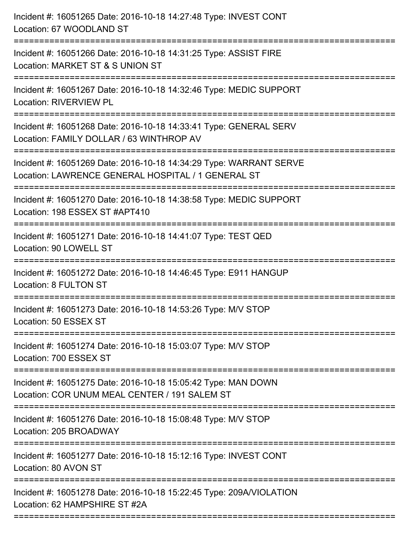| Incident #: 16051265 Date: 2016-10-18 14:27:48 Type: INVEST CONT<br>Location: 67 WOODLAND ST                                                              |
|-----------------------------------------------------------------------------------------------------------------------------------------------------------|
| Incident #: 16051266 Date: 2016-10-18 14:31:25 Type: ASSIST FIRE<br>Location: MARKET ST & S UNION ST                                                      |
| Incident #: 16051267 Date: 2016-10-18 14:32:46 Type: MEDIC SUPPORT<br>Location: RIVERVIEW PL                                                              |
| Incident #: 16051268 Date: 2016-10-18 14:33:41 Type: GENERAL SERV<br>Location: FAMILY DOLLAR / 63 WINTHROP AV                                             |
| Incident #: 16051269 Date: 2016-10-18 14:34:29 Type: WARRANT SERVE<br>Location: LAWRENCE GENERAL HOSPITAL / 1 GENERAL ST<br>============================= |
| Incident #: 16051270 Date: 2016-10-18 14:38:58 Type: MEDIC SUPPORT<br>Location: 198 ESSEX ST #APT410                                                      |
| Incident #: 16051271 Date: 2016-10-18 14:41:07 Type: TEST QED<br>Location: 90 LOWELL ST                                                                   |
| Incident #: 16051272 Date: 2016-10-18 14:46:45 Type: E911 HANGUP<br>Location: 8 FULTON ST                                                                 |
| Incident #: 16051273 Date: 2016-10-18 14:53:26 Type: M/V STOP<br>Location: 50 ESSEX ST                                                                    |
| Incident #: 16051274 Date: 2016-10-18 15:03:07 Type: M/V STOP<br>Location: 700 ESSEX ST                                                                   |
| ----------------------------<br>Incident #: 16051275 Date: 2016-10-18 15:05:42 Type: MAN DOWN<br>Location: COR UNUM MEAL CENTER / 191 SALEM ST            |
| Incident #: 16051276 Date: 2016-10-18 15:08:48 Type: M/V STOP<br>Location: 205 BROADWAY                                                                   |
| Incident #: 16051277 Date: 2016-10-18 15:12:16 Type: INVEST CONT<br>Location: 80 AVON ST                                                                  |
| Incident #: 16051278 Date: 2016-10-18 15:22:45 Type: 209A/VIOLATION<br>Location: 62 HAMPSHIRE ST #2A                                                      |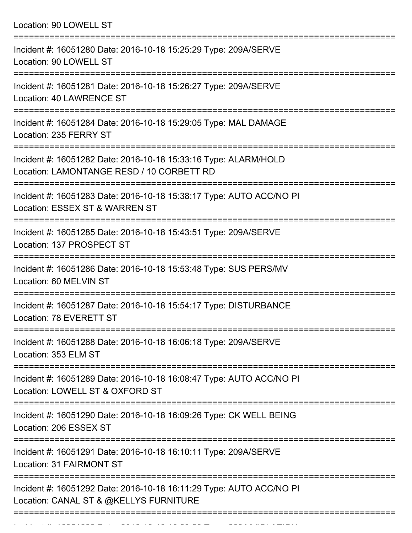Location: 90 LOWELL ST =========================================================================== Incident #: 16051280 Date: 2016-10-18 15:25:29 Type: 209A/SERVE Location: 90 LOWELL ST =========================================================================== Incident #: 16051281 Date: 2016-10-18 15:26:27 Type: 209A/SERVE Location: 40 LAWRENCE ST =========================================================================== Incident #: 16051284 Date: 2016-10-18 15:29:05 Type: MAL DAMAGE Location: 235 FERRY ST =========================================================================== Incident #: 16051282 Date: 2016-10-18 15:33:16 Type: ALARM/HOLD Location: LAMONTANGE RESD / 10 CORBETT RD =========================================================================== Incident #: 16051283 Date: 2016-10-18 15:38:17 Type: AUTO ACC/NO PI Location: ESSEX ST & WARREN ST =========================================================================== Incident #: 16051285 Date: 2016-10-18 15:43:51 Type: 209A/SERVE Location: 137 PROSPECT ST =========================================================================== Incident #: 16051286 Date: 2016-10-18 15:53:48 Type: SUS PERS/MV Location: 60 MELVIN ST =========================================================================== Incident #: 16051287 Date: 2016-10-18 15:54:17 Type: DISTURBANCE Location: 78 EVERETT ST =========================================================================== Incident #: 16051288 Date: 2016-10-18 16:06:18 Type: 209A/SERVE Location: 353 ELM ST =========================================================================== Incident #: 16051289 Date: 2016-10-18 16:08:47 Type: AUTO ACC/NO PI Location: LOWELL ST & OXFORD ST =========================================================================== Incident #: 16051290 Date: 2016-10-18 16:09:26 Type: CK WELL BEING Location: 206 ESSEX ST =========================================================================== Incident #: 16051291 Date: 2016-10-18 16:10:11 Type: 209A/SERVE Location: 31 FAIRMONT ST =========================================================================== Incident #: 16051292 Date: 2016-10-18 16:11:29 Type: AUTO ACC/NO PI Location: CANAL ST & @KELLYS FURNITURE ===========================================================================

Incident #: 16051293 Date: 2016 10 18 16:29:20 Type: 209A/VIOLATION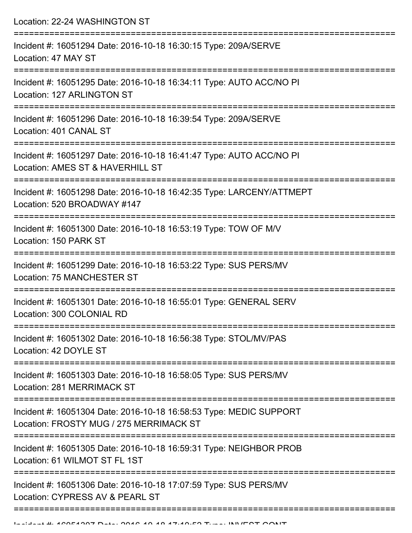Location: 22-24 WASHINGTON ST =========================================================================== Incident #: 16051294 Date: 2016-10-18 16:30:15 Type: 209A/SERVE Location: 47 MAY ST =========================================================================== Incident #: 16051295 Date: 2016-10-18 16:34:11 Type: AUTO ACC/NO PI Location: 127 ARLINGTON ST =========================================================================== Incident #: 16051296 Date: 2016-10-18 16:39:54 Type: 209A/SERVE Location: 401 CANAL ST =========================================================================== Incident #: 16051297 Date: 2016-10-18 16:41:47 Type: AUTO ACC/NO PI Location: AMES ST & HAVERHILL ST =========================================================================== Incident #: 16051298 Date: 2016-10-18 16:42:35 Type: LARCENY/ATTMEPT Location: 520 BROADWAY #147 =========================================================================== Incident #: 16051300 Date: 2016-10-18 16:53:19 Type: TOW OF M/V Location: 150 PARK ST =========================================================================== Incident #: 16051299 Date: 2016-10-18 16:53:22 Type: SUS PERS/MV Location: 75 MANCHESTER ST =========================================================================== Incident #: 16051301 Date: 2016-10-18 16:55:01 Type: GENERAL SERV Location: 300 COLONIAL RD =========================================================================== Incident #: 16051302 Date: 2016-10-18 16:56:38 Type: STOL/MV/PAS Location: 42 DOYLE ST =========================================================================== Incident #: 16051303 Date: 2016-10-18 16:58:05 Type: SUS PERS/MV Location: 281 MERRIMACK ST =========================================================================== Incident #: 16051304 Date: 2016-10-18 16:58:53 Type: MEDIC SUPPORT Location: FROSTY MUG / 275 MERRIMACK ST =========================================================================== Incident #: 16051305 Date: 2016-10-18 16:59:31 Type: NEIGHBOR PROB Location: 61 WILMOT ST FL 1ST =========================================================================== Incident #: 16051306 Date: 2016-10-18 17:07:59 Type: SUS PERS/MV Location: CYPRESS AV & PEARL ST

===========================================================================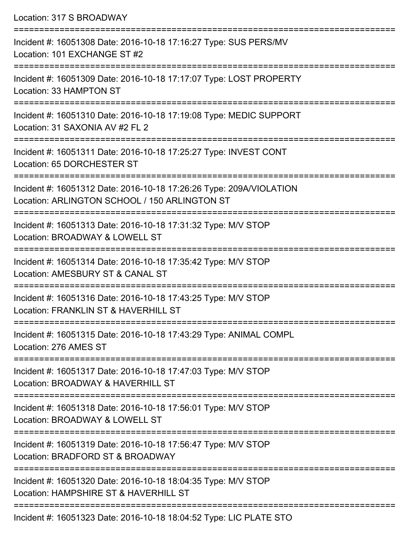| Location: 317 S BROADWAY                                                                                                                                 |
|----------------------------------------------------------------------------------------------------------------------------------------------------------|
| Incident #: 16051308 Date: 2016-10-18 17:16:27 Type: SUS PERS/MV<br>Location: 101 EXCHANGE ST #2<br>:=======================                             |
| Incident #: 16051309 Date: 2016-10-18 17:17:07 Type: LOST PROPERTY<br>Location: 33 HAMPTON ST                                                            |
| Incident #: 16051310 Date: 2016-10-18 17:19:08 Type: MEDIC SUPPORT<br>Location: 31 SAXONIA AV #2 FL 2                                                    |
| Incident #: 16051311 Date: 2016-10-18 17:25:27 Type: INVEST CONT<br>Location: 65 DORCHESTER ST                                                           |
| Incident #: 16051312 Date: 2016-10-18 17:26:26 Type: 209A/VIOLATION<br>Location: ARLINGTON SCHOOL / 150 ARLINGTON ST<br>================================ |
| Incident #: 16051313 Date: 2016-10-18 17:31:32 Type: M/V STOP<br>Location: BROADWAY & LOWELL ST                                                          |
| Incident #: 16051314 Date: 2016-10-18 17:35:42 Type: M/V STOP<br>Location: AMESBURY ST & CANAL ST                                                        |
| ==================================<br>Incident #: 16051316 Date: 2016-10-18 17:43:25 Type: M/V STOP<br>Location: FRANKLIN ST & HAVERHILL ST              |
| Incident #: 16051315 Date: 2016-10-18 17:43:29 Type: ANIMAL COMPL<br>Location: 276 AMES ST                                                               |
| Incident #: 16051317 Date: 2016-10-18 17:47:03 Type: M/V STOP<br>Location: BROADWAY & HAVERHILL ST                                                       |
| Incident #: 16051318 Date: 2016-10-18 17:56:01 Type: M/V STOP<br>Location: BROADWAY & LOWELL ST                                                          |
| -----------------------<br>Incident #: 16051319 Date: 2016-10-18 17:56:47 Type: M/V STOP<br>Location: BRADFORD ST & BROADWAY                             |
| Incident #: 16051320 Date: 2016-10-18 18:04:35 Type: M/V STOP<br>Location: HAMPSHIRE ST & HAVERHILL ST                                                   |
| Incident #: 16051323 Date: 2016-10-18 18:04:52 Type: LIC PLATE STO                                                                                       |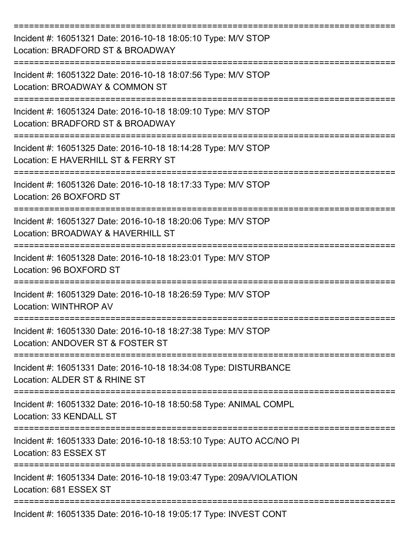| Incident #: 16051321 Date: 2016-10-18 18:05:10 Type: M/V STOP<br>Location: BRADFORD ST & BROADWAY    |
|------------------------------------------------------------------------------------------------------|
| Incident #: 16051322 Date: 2016-10-18 18:07:56 Type: M/V STOP<br>Location: BROADWAY & COMMON ST      |
| Incident #: 16051324 Date: 2016-10-18 18:09:10 Type: M/V STOP<br>Location: BRADFORD ST & BROADWAY    |
| Incident #: 16051325 Date: 2016-10-18 18:14:28 Type: M/V STOP<br>Location: E HAVERHILL ST & FERRY ST |
| Incident #: 16051326 Date: 2016-10-18 18:17:33 Type: M/V STOP<br>Location: 26 BOXFORD ST             |
| Incident #: 16051327 Date: 2016-10-18 18:20:06 Type: M/V STOP<br>Location: BROADWAY & HAVERHILL ST   |
| Incident #: 16051328 Date: 2016-10-18 18:23:01 Type: M/V STOP<br>Location: 96 BOXFORD ST             |
| ==========<br>Incident #: 16051329 Date: 2016-10-18 18:26:59 Type: M/V STOP<br>Location: WINTHROP AV |
| Incident #: 16051330 Date: 2016-10-18 18:27:38 Type: M/V STOP<br>Location: ANDOVER ST & FOSTER ST    |
| Incident #: 16051331 Date: 2016-10-18 18:34:08 Type: DISTURBANCE<br>Location: ALDER ST & RHINE ST    |
| Incident #: 16051332 Date: 2016-10-18 18:50:58 Type: ANIMAL COMPL<br>Location: 33 KENDALL ST         |
| Incident #: 16051333 Date: 2016-10-18 18:53:10 Type: AUTO ACC/NO PI<br>Location: 83 ESSEX ST         |
| Incident #: 16051334 Date: 2016-10-18 19:03:47 Type: 209A/VIOLATION<br>Location: 681 ESSEX ST        |
| Incident #: 16051335 Date: 2016-10-18 19:05:17 Type: INVEST CONT                                     |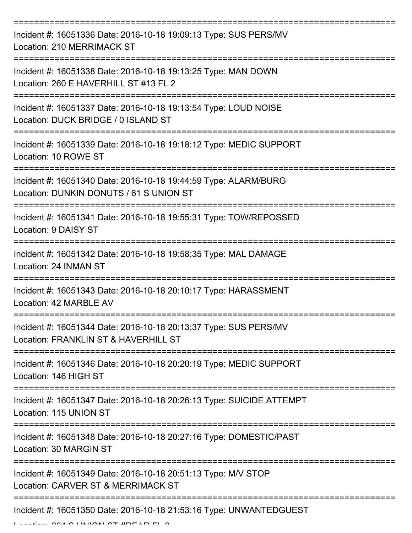| Incident #: 16051336 Date: 2016-10-18 19:09:13 Type: SUS PERS/MV<br>Location: 210 MERRIMACK ST             |
|------------------------------------------------------------------------------------------------------------|
| Incident #: 16051338 Date: 2016-10-18 19:13:25 Type: MAN DOWN<br>Location: 260 E HAVERHILL ST #13 FL 2     |
| Incident #: 16051337 Date: 2016-10-18 19:13:54 Type: LOUD NOISE<br>Location: DUCK BRIDGE / 0 ISLAND ST     |
| Incident #: 16051339 Date: 2016-10-18 19:18:12 Type: MEDIC SUPPORT<br>Location: 10 ROWE ST                 |
| Incident #: 16051340 Date: 2016-10-18 19:44:59 Type: ALARM/BURG<br>Location: DUNKIN DONUTS / 61 S UNION ST |
| Incident #: 16051341 Date: 2016-10-18 19:55:31 Type: TOW/REPOSSED<br>Location: 9 DAISY ST                  |
| Incident #: 16051342 Date: 2016-10-18 19:58:35 Type: MAL DAMAGE<br>Location: 24 INMAN ST                   |
| Incident #: 16051343 Date: 2016-10-18 20:10:17 Type: HARASSMENT<br>Location: 42 MARBLE AV                  |
| Incident #: 16051344 Date: 2016-10-18 20:13:37 Type: SUS PERS/MV<br>Location: FRANKLIN ST & HAVERHILL ST   |
| Incident #: 16051346 Date: 2016-10-18 20:20:19 Type: MEDIC SUPPORT<br>Location: 146 HIGH ST                |
| Incident #: 16051347 Date: 2016-10-18 20:26:13 Type: SUICIDE ATTEMPT<br>Location: 115 UNION ST             |
| Incident #: 16051348 Date: 2016-10-18 20:27:16 Type: DOMESTIC/PAST<br>Location: 30 MARGIN ST               |
| Incident #: 16051349 Date: 2016-10-18 20:51:13 Type: M/V STOP<br>Location: CARVER ST & MERRIMACK ST        |
| Incident #: 16051350 Date: 2016-10-18 21:53:16 Type: UNWANTEDGUEST                                         |